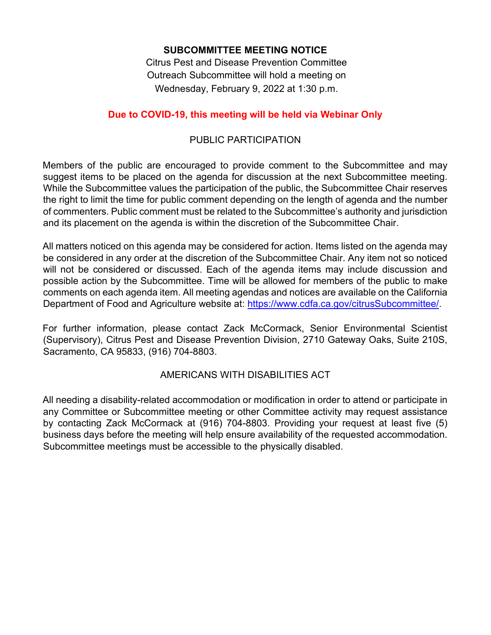## **SUBCOMMITTEE MEETING NOTICE**

**Citrus Pest and Disease Prevention Committee**  Wednesday, February 9, 2022 at 1:30 p.m. Outreach Subcommittee will hold a meeting on

#### **Due to COVID-19, this meeting will be held via Webinar Only**

#### PUBLIC PARTICIPATION

Members of the public are encouraged to provide comment to the Subcommittee and may suggest items to be placed on the agenda for discussion at the next Subcommittee meeting. While the Subcommittee values the participation of the public, the Subcommittee Chair reserves the right to limit the time for public comment depending on the length of agenda and the number of commenters. Public comment must be related to the Subcommittee's authority and jurisdiction and its placement on the agenda is within the discretion of the Subcommittee Chair.

 comments on each agenda item. All meeting agendas and notices are available on the California All matters noticed on this agenda may be considered for action. Items listed on the agenda may be considered in any order at the discretion of the Subcommittee Chair. Any item not so noticed will not be considered or discussed. Each of the agenda items may include discussion and possible action by the Subcommittee. Time will be allowed for members of the public to make Department of Food and Agriculture website at: [https://www.cdfa.ca.gov/citrusSubcommittee/](https://www.cdfa.ca.gov/citruscommittee).

 Sacramento, CA 95833, (916) 704-8803. AMERICANS WITH DISABILITIES ACT For further information, please contact Zack McCormack, Senior Environmental Scientist (Supervisory), Citrus Pest and Disease Prevention Division, 2710 Gateway Oaks, Suite 210S,

 by contacting Zack McCormack at (916) 704-8803. Providing your request at least five (5) business days before the meeting will help ensure availability of the requested accommodation. All needing a disability-related accommodation or modification in order to attend or participate in any Committee or Subcommittee meeting or other Committee activity may request assistance Subcommittee meetings must be accessible to the physically disabled.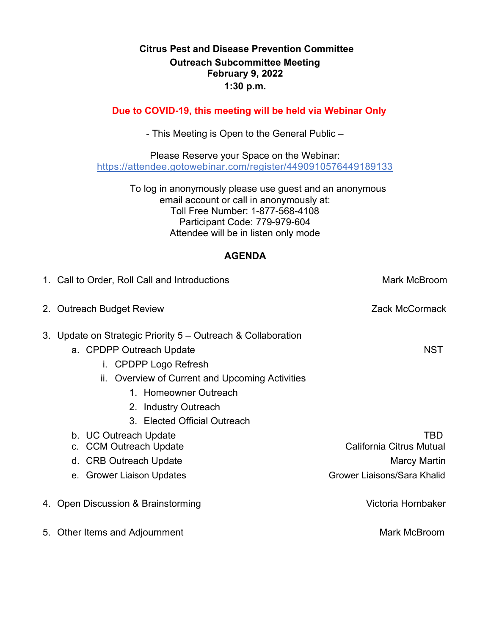## **Citrus Pest and Disease Prevention Committee Outreach Subcommittee Meeting February 9, 2022 1:30 p.m.**

## **Due to COVID-19, this meeting will be held via Webinar Only**

- This Meeting is Open to the General Public –

Please Reserve your Space on the Webinar: <https://attendee.gotowebinar.com/register/4490910576449189133>

> To log in anonymously please use guest and an anonymous email account or call in anonymously at: Toll Free Number: 1-877-568-4108 Participant Code: 779-979-604 Attendee will be in listen only mode

# **AGENDA**

| 1. Call to Order, Roll Call and Introductions                                                                                    | Mark McBroom                                                                   |
|----------------------------------------------------------------------------------------------------------------------------------|--------------------------------------------------------------------------------|
| 2. Outreach Budget Review                                                                                                        | <b>Zack McCormack</b>                                                          |
| 3. Update on Strategic Priority 5 – Outreach & Collaboration<br>a. CPDPP Outreach Update<br>i. CPDPP Logo Refresh                | <b>NST</b>                                                                     |
| ii. Overview of Current and Upcoming Activities<br>1. Homeowner Outreach<br>2. Industry Outreach<br>3. Elected Official Outreach |                                                                                |
| b. UC Outreach Update<br>c. CCM Outreach Update<br>d. CRB Outreach Update<br>e. Grower Liaison Updates                           | TBD<br>California Citrus Mutual<br>Marcy Martin<br>Grower Liaisons/Sara Khalid |
| 4. Open Discussion & Brainstorming                                                                                               | Victoria Hornbaker                                                             |
| 5. Other Items and Adjournment                                                                                                   | Mark McBroom                                                                   |